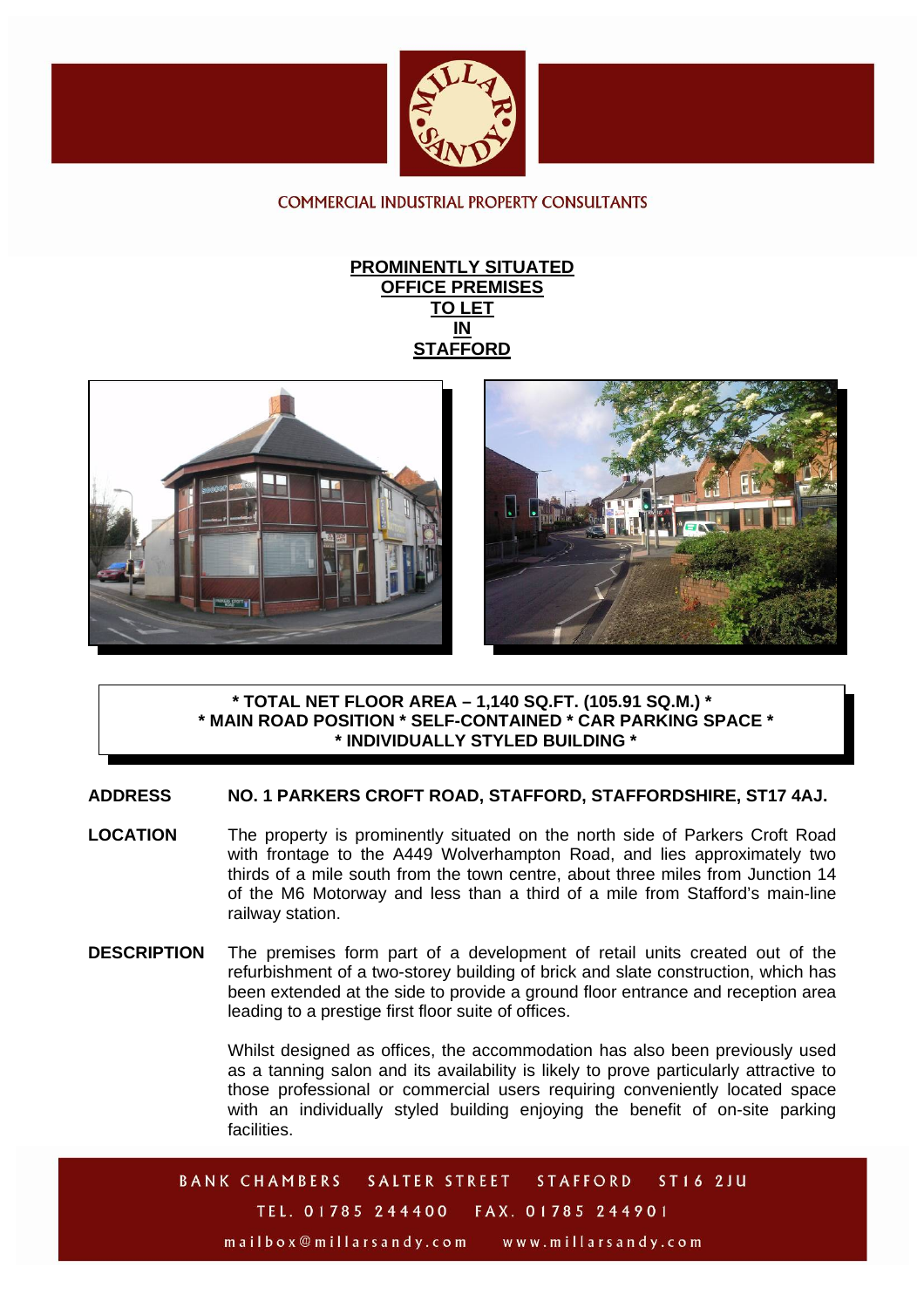

COMMERCIAL INDUSTRIAL PROPERTY CONSULTANTS







## **\* TOTAL NET FLOOR AREA – 1,140 SQ.FT. (105.91 SQ.M.) \* \* MAIN ROAD POSITION \* SELF-CONTAINED \* CAR PARKING SPACE \* \* INDIVIDUALLY STYLED BUILDING \***

**ADDRESS NO. 1 PARKERS CROFT ROAD, STAFFORD, STAFFORDSHIRE, ST17 4AJ.** 

- **LOCATION** The property is prominently situated on the north side of Parkers Croft Road with frontage to the A449 Wolverhampton Road, and lies approximately two thirds of a mile south from the town centre, about three miles from Junction 14 of the M6 Motorway and less than a third of a mile from Stafford's main-line railway station.
- **DESCRIPTION** The premises form part of a development of retail units created out of the refurbishment of a two-storey building of brick and slate construction, which has been extended at the side to provide a ground floor entrance and reception area leading to a prestige first floor suite of offices.

Whilst designed as offices, the accommodation has also been previously used as a tanning salon and its availability is likely to prove particularly attractive to those professional or commercial users requiring conveniently located space with an individually styled building enjoying the benefit of on-site parking facilities.

**BANK CHAMBERS** ST16 2JU **SALTER STREET STAFFORD** TEL. 01785 244400 FAX. 01785 244901 mailbox@millarsandy.com www.millarsandy.com